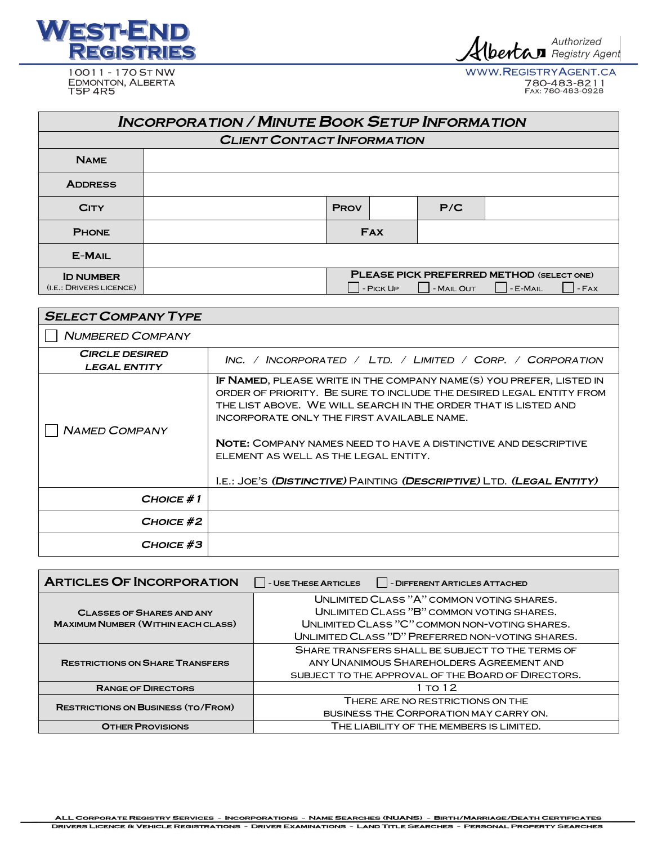

10011 - 170 ST NW EDMONTON, ALBERTA

Albertan Authorized

WWW.REGISTRYAGENT.CA 780-483-8211

| <b>INCORPORATION / MINUTE BOOK SETUP INFORMATION</b> |                                   |                                                                                            |  |     |  |  |
|------------------------------------------------------|-----------------------------------|--------------------------------------------------------------------------------------------|--|-----|--|--|
|                                                      | <b>CLIENT CONTACT INFORMATION</b> |                                                                                            |  |     |  |  |
| <b>NAME</b>                                          |                                   |                                                                                            |  |     |  |  |
| <b>ADDRESS</b>                                       |                                   |                                                                                            |  |     |  |  |
| <b>CITY</b>                                          |                                   | <b>PROV</b>                                                                                |  | P/C |  |  |
| <b>PHONE</b>                                         |                                   | <b>FAX</b>                                                                                 |  |     |  |  |
| <b>E-MAIL</b>                                        |                                   |                                                                                            |  |     |  |  |
| <b>ID NUMBER</b><br>(I.E.: DRIVERS LICENCE)          |                                   | PLEASE PICK PREFERRED METHOD (SELECT ONE)<br>- MAIL OUT<br>- E-MAIL<br>$-FAX$<br>- PICK UP |  |     |  |  |

| <b>SELECT COMPANY TYPE</b>                   |                                                                                                                                                                                                                                                                                                                                                                                                                                                      |  |  |
|----------------------------------------------|------------------------------------------------------------------------------------------------------------------------------------------------------------------------------------------------------------------------------------------------------------------------------------------------------------------------------------------------------------------------------------------------------------------------------------------------------|--|--|
| NUMBERED COMPANY                             |                                                                                                                                                                                                                                                                                                                                                                                                                                                      |  |  |
| <b>CIRCLE DESIRED</b><br><b>LEGAL ENTITY</b> | Inc. / Incorporated / Ltd. / Limited / Corp. / Corporation                                                                                                                                                                                                                                                                                                                                                                                           |  |  |
| <b>NAMED COMPANY</b>                         | IF NAMED, PLEASE WRITE IN THE COMPANY NAME (S) YOU PREFER, LISTED IN<br>ORDER OF PRIORITY. BE SURE TO INCLUDE THE DESIRED LEGAL ENTITY FROM<br>THE LIST ABOVE. WE WILL SEARCH IN THE ORDER THAT IS LISTED AND<br>INCORPORATE ONLY THE FIRST AVAILABLE NAME.<br><b>NOTE: COMPANY NAMES NEED TO HAVE A DISTINCTIVE AND DESCRIPTIVE</b><br>ELEMENT AS WELL AS THE LEGAL ENTITY.<br>I.E.: JOE'S (DISTINCTIVE) PAINTING (DESCRIPTIVE) LTD. (LEGAL ENTITY) |  |  |
| $CHOICE \# 1$                                |                                                                                                                                                                                                                                                                                                                                                                                                                                                      |  |  |
| CHOICE #2                                    |                                                                                                                                                                                                                                                                                                                                                                                                                                                      |  |  |
| CHOICE #3                                    |                                                                                                                                                                                                                                                                                                                                                                                                                                                      |  |  |

| <b>ARTICLES OF INCORPORATION</b>          | - USE THESE ARTICLES<br>   - DIFFERENT ARTICLES ATTACHED |
|-------------------------------------------|----------------------------------------------------------|
|                                           | UNI IMITED CLASS "A" COMMON VOTING SHARES.               |
| <b>CLASSES OF SHARES AND ANY</b>          | UNI IMITED CLASS "B" COMMON VOTING SHARES.               |
| <b>MAXIMUM NUMBER (WITHIN EACH CLASS)</b> | UNLIMITED CLASS "C" COMMON NON-VOTING SHARES.            |
|                                           | UNLIMITED CLASS "D" PREFERRED NON-VOTING SHARES.         |
|                                           | SHARE TRANSFERS SHALL BE SUBJECT TO THE TERMS OF         |
| <b>RESTRICTIONS ON SHARE TRANSFERS</b>    | ANY UNANIMOUS SHARFHOLDERS AGREEMENT AND                 |
|                                           | SUBJECT TO THE APPROVAL OF THE BOARD OF DIRECTORS.       |
| <b>RANGE OF DIRECTORS</b>                 | 1 TO 12                                                  |
| <b>RESTRICTIONS ON BUSINESS (TO/FROM)</b> | THERE ARE NO RESTRICTIONS ON THE                         |
|                                           | BUSINESS THE CORPORATION MAY CARRY ON.                   |
| <b>OTHER PROVISIONS</b>                   | THE LIABILITY OF THE MEMBERS IS LIMITED.                 |